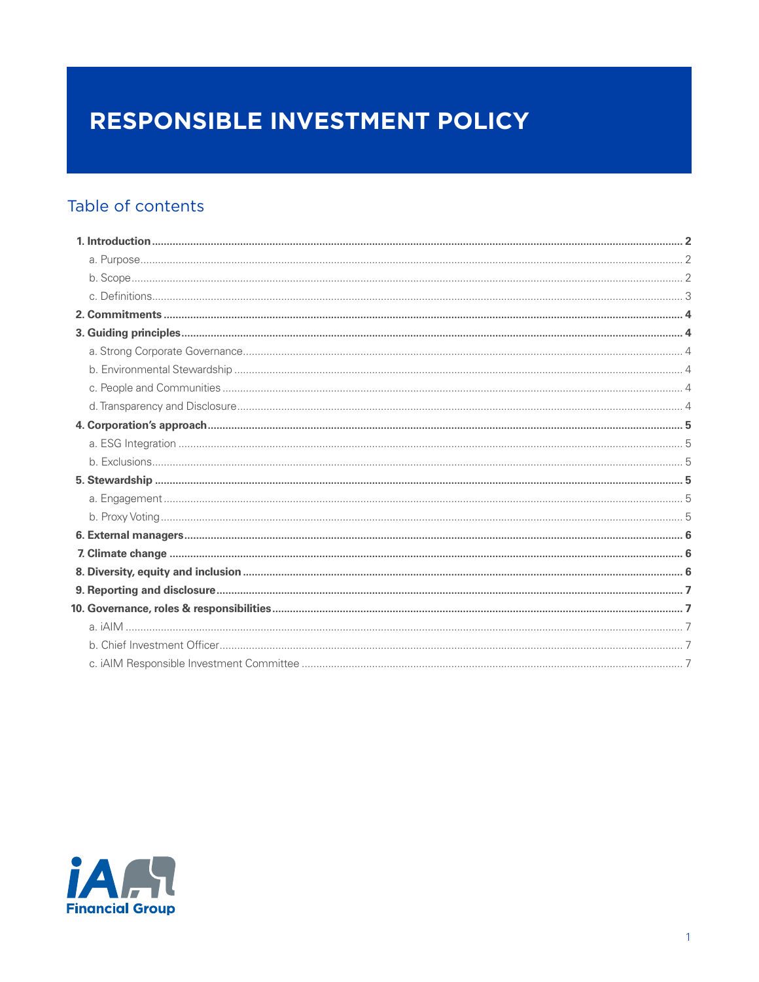# RESPONSIBLE INVESTMENT POLICY

# Table of contents

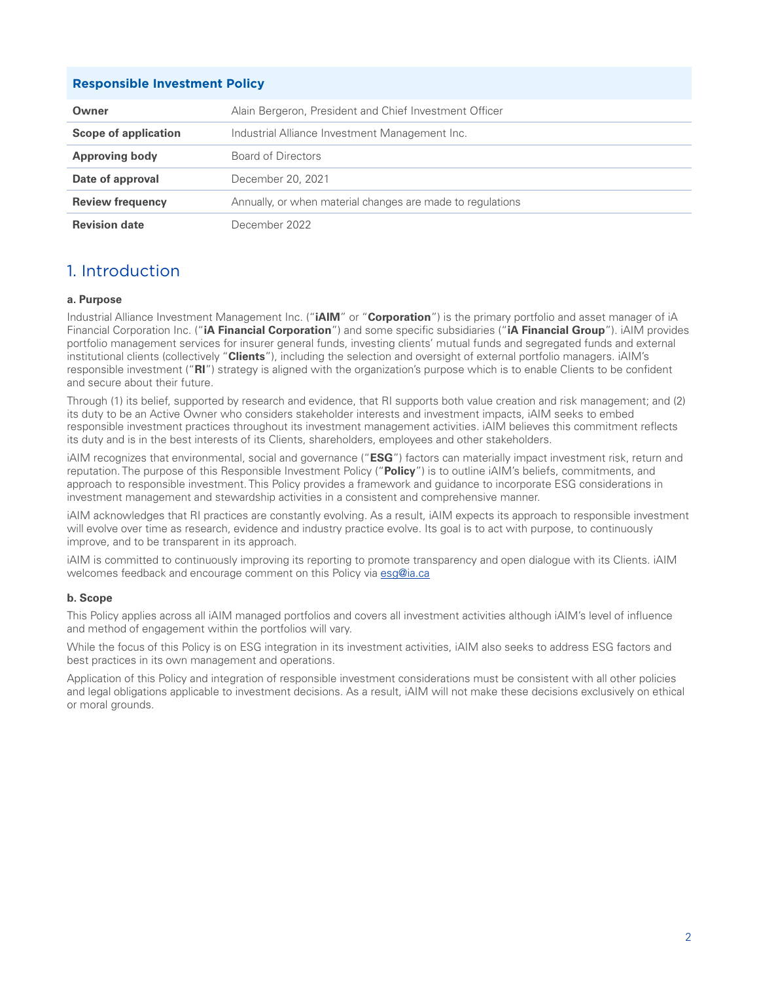#### <span id="page-1-0"></span>**Responsible Investment Policy**

| Owner                   | Alain Bergeron, President and Chief Investment Officer     |
|-------------------------|------------------------------------------------------------|
| Scope of application    | Industrial Alliance Investment Management Inc.             |
| <b>Approving body</b>   | Board of Directors                                         |
| Date of approval        | December 20, 2021                                          |
| <b>Review frequency</b> | Annually, or when material changes are made to regulations |
| <b>Revision date</b>    | December 2022.                                             |

### 1. Introduction

#### **a. Purpose**

Industrial Alliance Investment Management Inc. ("**iAIM**" or "**Corporation**") is the primary portfolio and asset manager of iA Financial Corporation Inc. ("**iA Financial Corporation**") and some specific subsidiaries ("**iA Financial Group**"). iAIM provides portfolio management services for insurer general funds, investing clients' mutual funds and segregated funds and external institutional clients (collectively "**Clients**"), including the selection and oversight of external portfolio managers. iAIM's responsible investment ("**RI**") strategy is aligned with the organization's purpose which is to enable Clients to be confident and secure about their future.

Through (1) its belief, supported by research and evidence, that RI supports both value creation and risk management; and (2) its duty to be an Active Owner who considers stakeholder interests and investment impacts, iAIM seeks to embed responsible investment practices throughout its investment management activities. iAIM believes this commitment reflects its duty and is in the best interests of its Clients, shareholders, employees and other stakeholders.

iAIM recognizes that environmental, social and governance ("**ESG**") factors can materially impact investment risk, return and reputation. The purpose of this Responsible Investment Policy ("**Policy**") is to outline iAIM's beliefs, commitments, and approach to responsible investment. This Policy provides a framework and guidance to incorporate ESG considerations in investment management and stewardship activities in a consistent and comprehensive manner.

iAIM acknowledges that RI practices are constantly evolving. As a result, iAIM expects its approach to responsible investment will evolve over time as research, evidence and industry practice evolve. Its goal is to act with purpose, to continuously improve, and to be transparent in its approach.

iAIM is committed to continuously improving its reporting to promote transparency and open dialogue with its Clients. iAIM welcomes feedback and encourage comment on this Policy via [esg@ia.ca](mailto:esg%40ia.ca?subject=)

#### **b. Scope**

This Policy applies across all iAIM managed portfolios and covers all investment activities although iAIM's level of influence and method of engagement within the portfolios will vary.

While the focus of this Policy is on ESG integration in its investment activities, iAIM also seeks to address ESG factors and best practices in its own management and operations.

Application of this Policy and integration of responsible investment considerations must be consistent with all other policies and legal obligations applicable to investment decisions. As a result, iAIM will not make these decisions exclusively on ethical or moral grounds.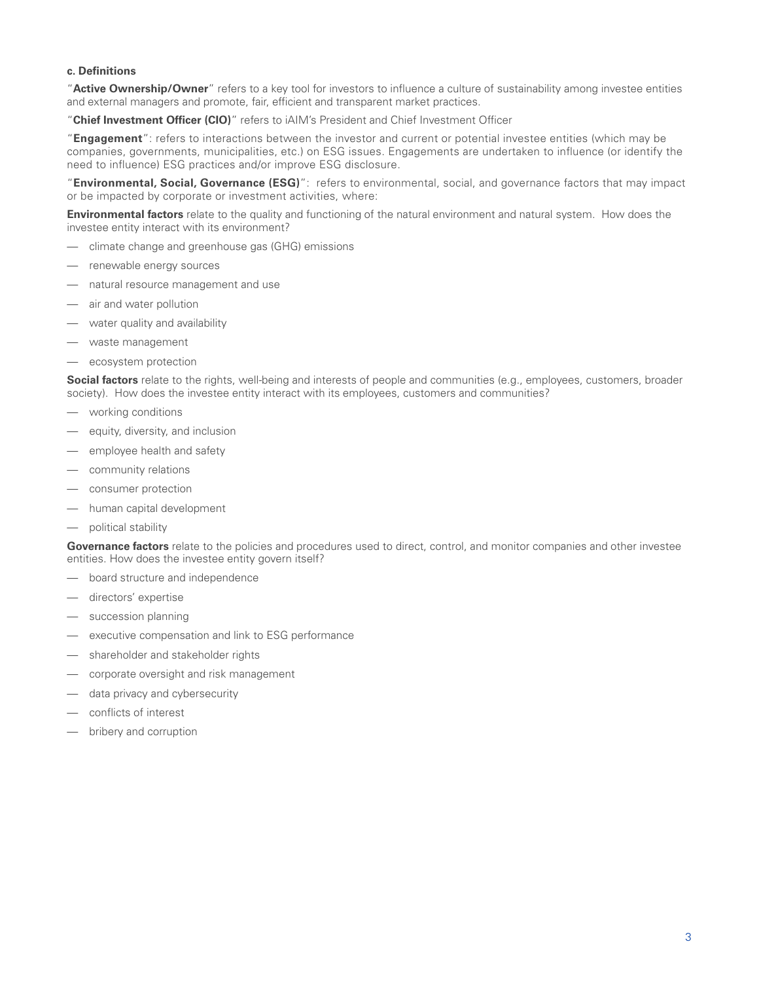#### <span id="page-2-0"></span>**c. Definitions**

"**Active Ownership/Owner**" refers to a key tool for investors to influence a culture of sustainability among investee entities and external managers and promote, fair, efficient and transparent market practices.

"**Chief Investment Officer (CIO)**" refers to iAIM's President and Chief Investment Officer

"**Engagement**": refers to interactions between the investor and current or potential investee entities (which may be companies, governments, municipalities, etc.) on ESG issues. Engagements are undertaken to influence (or identify the need to influence) ESG practices and/or improve ESG disclosure.

"**Environmental, Social, Governance (ESG)**": refers to environmental, social, and governance factors that may impact or be impacted by corporate or investment activities, where:

**Environmental factors** relate to the quality and functioning of the natural environment and natural system. How does the investee entity interact with its environment?

- climate change and greenhouse gas (GHG) emissions
- renewable energy sources
- natural resource management and use
- air and water pollution
- water quality and availability
- waste management
- ecosystem protection

**Social factors** relate to the rights, well-being and interests of people and communities (e.g., employees, customers, broader society). How does the investee entity interact with its employees, customers and communities?

- working conditions
- equity, diversity, and inclusion
- employee health and safety
- community relations
- consumer protection
- human capital development
- political stability

**Governance factors** relate to the policies and procedures used to direct, control, and monitor companies and other investee entities. How does the investee entity govern itself?

- board structure and independence
- directors' expertise
- succession planning
- executive compensation and link to ESG performance
- shareholder and stakeholder rights
- corporate oversight and risk management
- data privacy and cybersecurity
- conflicts of interest
- bribery and corruption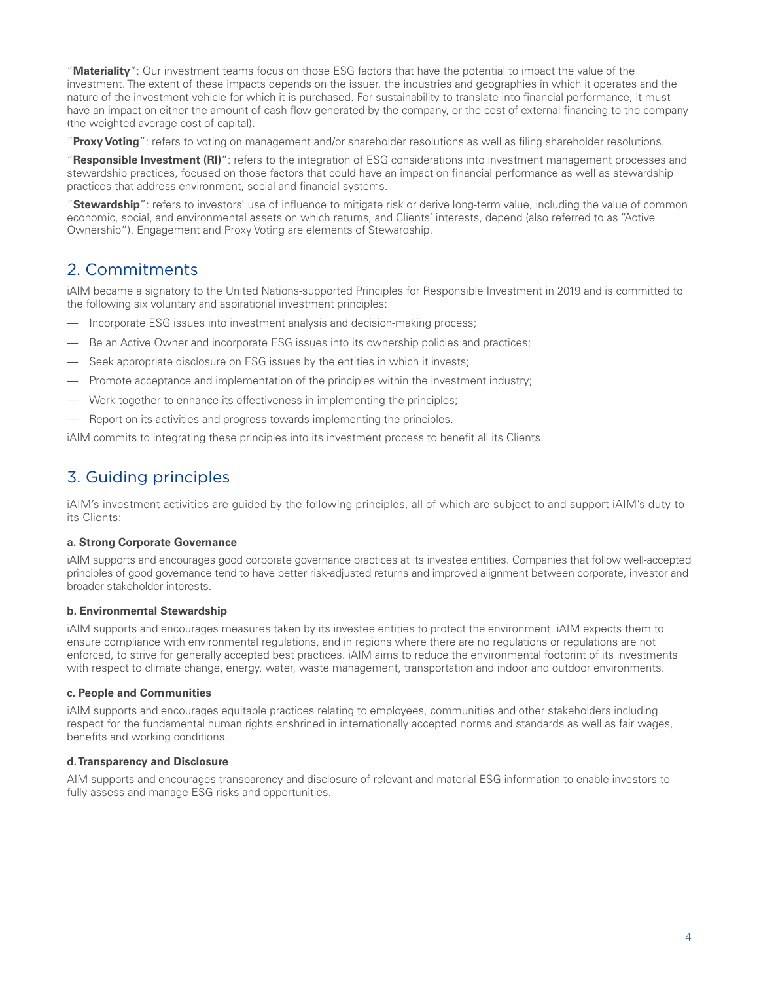<span id="page-3-0"></span>"**Materiality**": Our investment teams focus on those ESG factors that have the potential to impact the value of the investment. The extent of these impacts depends on the issuer, the industries and geographies in which it operates and the nature of the investment vehicle for which it is purchased. For sustainability to translate into financial performance, it must have an impact on either the amount of cash flow generated by the company, or the cost of external financing to the company (the weighted average cost of capital).

"**Proxy Voting**": refers to voting on management and/or shareholder resolutions as well as filing shareholder resolutions.

"**Responsible Investment (RI)**": refers to the integration of ESG considerations into investment management processes and stewardship practices, focused on those factors that could have an impact on financial performance as well as stewardship practices that address environment, social and financial systems.

"**Stewardship**": refers to investors' use of influence to mitigate risk or derive long-term value, including the value of common economic, social, and environmental assets on which returns, and Clients' interests, depend (also referred to as "Active Ownership"). Engagement and Proxy Voting are elements of Stewardship.

# 2. Commitments

iAIM became a signatory to the United Nations-supported Principles for Responsible Investment in 2019 and is committed to the following six voluntary and aspirational investment principles:

- Incorporate ESG issues into investment analysis and decision-making process;
- Be an Active Owner and incorporate ESG issues into its ownership policies and practices;
- Seek appropriate disclosure on ESG issues by the entities in which it invests;
- Promote acceptance and implementation of the principles within the investment industry;
- Work together to enhance its effectiveness in implementing the principles;
- Report on its activities and progress towards implementing the principles.

iAIM commits to integrating these principles into its investment process to benefit all its Clients.

# 3. Guiding principles

iAIM's investment activities are guided by the following principles, all of which are subject to and support iAIM's duty to its Clients:

### **a. Strong Corporate Governance**

iAIM supports and encourages good corporate governance practices at its investee entities. Companies that follow well-accepted principles of good governance tend to have better risk-adjusted returns and improved alignment between corporate, investor and broader stakeholder interests.

### **b. Environmental Stewardship**

iAIM supports and encourages measures taken by its investee entities to protect the environment. iAIM expects them to ensure compliance with environmental regulations, and in regions where there are no regulations or regulations are not enforced, to strive for generally accepted best practices. iAIM aims to reduce the environmental footprint of its investments with respect to climate change, energy, water, waste management, transportation and indoor and outdoor environments.

### **c. People and Communities**

iAIM supports and encourages equitable practices relating to employees, communities and other stakeholders including respect for the fundamental human rights enshrined in internationally accepted norms and standards as well as fair wages, benefits and working conditions.

### **d. Transparency and Disclosure**

AIM supports and encourages transparency and disclosure of relevant and material ESG information to enable investors to fully assess and manage ESG risks and opportunities.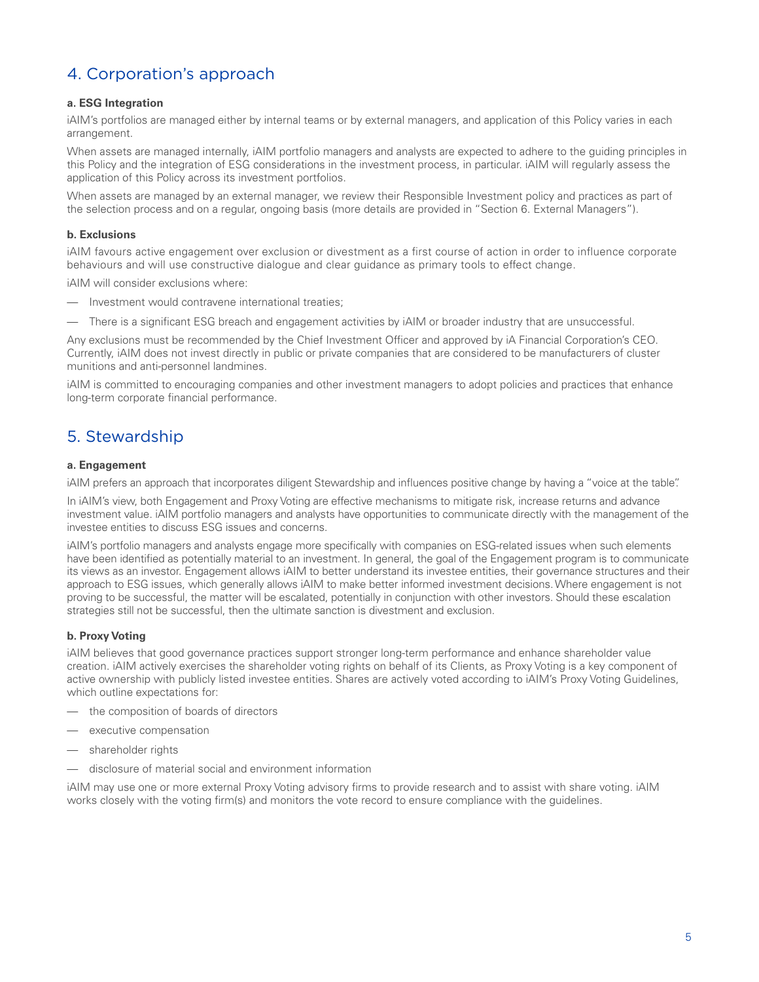## <span id="page-4-0"></span>4. Corporation's approach

#### **a. ESG Integration**

iAIM's portfolios are managed either by internal teams or by external managers, and application of this Policy varies in each arrangement.

When assets are managed internally, iAIM portfolio managers and analysts are expected to adhere to the quiding principles in this Policy and the integration of ESG considerations in the investment process, in particular. iAIM will regularly assess the application of this Policy across its investment portfolios.

When assets are managed by an external manager, we review their Responsible Investment policy and practices as part of the selection process and on a regular, ongoing basis (more details are provided in "Section 6. External Managers").

#### **b. Exclusions**

iAIM favours active engagement over exclusion or divestment as a first course of action in order to influence corporate behaviours and will use constructive dialogue and clear guidance as primary tools to effect change.

iAIM will consider exclusions where:

- Investment would contravene international treaties:
- There is a significant ESG breach and engagement activities by iAIM or broader industry that are unsuccessful.

Any exclusions must be recommended by the Chief Investment Officer and approved by iA Financial Corporation's CEO. Currently, iAIM does not invest directly in public or private companies that are considered to be manufacturers of cluster munitions and anti-personnel landmines.

iAIM is committed to encouraging companies and other investment managers to adopt policies and practices that enhance long-term corporate financial performance.

### 5. Stewardship

#### **a. Engagement**

iAIM prefers an approach that incorporates diligent Stewardship and influences positive change by having a "voice at the table".

In iAIM's view, both Engagement and Proxy Voting are effective mechanisms to mitigate risk, increase returns and advance investment value. iAIM portfolio managers and analysts have opportunities to communicate directly with the management of the investee entities to discuss ESG issues and concerns.

iAIM's portfolio managers and analysts engage more specifically with companies on ESG-related issues when such elements have been identified as potentially material to an investment. In general, the goal of the Engagement program is to communicate its views as an investor. Engagement allows iAIM to better understand its investee entities, their governance structures and their approach to ESG issues, which generally allows iAIM to make better informed investment decisions. Where engagement is not proving to be successful, the matter will be escalated, potentially in conjunction with other investors. Should these escalation strategies still not be successful, then the ultimate sanction is divestment and exclusion.

#### **b. Proxy Voting**

iAIM believes that good governance practices support stronger long-term performance and enhance shareholder value creation. iAIM actively exercises the shareholder voting rights on behalf of its Clients, as Proxy Voting is a key component of active ownership with publicly listed investee entities. Shares are actively voted according to iAIM's Proxy Voting Guidelines, which outline expectations for:

- the composition of boards of directors
- executive compensation
- shareholder rights
- disclosure of material social and environment information

iAIM may use one or more external Proxy Voting advisory firms to provide research and to assist with share voting. iAIM works closely with the voting firm(s) and monitors the vote record to ensure compliance with the guidelines.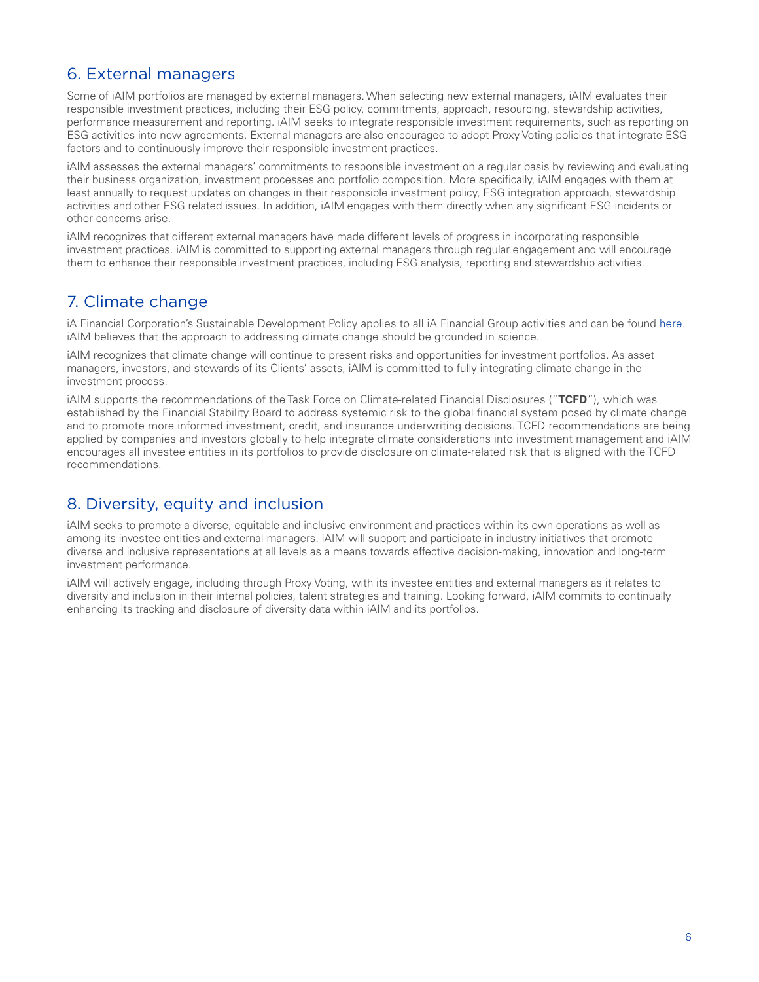### <span id="page-5-0"></span>6. External managers

Some of iAIM portfolios are managed by external managers. When selecting new external managers, iAIM evaluates their responsible investment practices, including their ESG policy, commitments, approach, resourcing, stewardship activities, performance measurement and reporting. iAIM seeks to integrate responsible investment requirements, such as reporting on ESG activities into new agreements. External managers are also encouraged to adopt Proxy Voting policies that integrate ESG factors and to continuously improve their responsible investment practices.

iAIM assesses the external managers' commitments to responsible investment on a regular basis by reviewing and evaluating their business organization, investment processes and portfolio composition. More specifically, iAIM engages with them at least annually to request updates on changes in their responsible investment policy, ESG integration approach, stewardship activities and other ESG related issues. In addition, iAIM engages with them directly when any significant ESG incidents or other concerns arise.

iAIM recognizes that different external managers have made different levels of progress in incorporating responsible investment practices. iAIM is committed to supporting external managers through regular engagement and will encourage them to enhance their responsible investment practices, including ESG analysis, reporting and stewardship activities.

### 7. Climate change

iA Financial Corporation's Sustainable Development Policy applies to all iA Financial Group activities and can be found [here.](https://ia.ca/-/media/Files/IA/APropos/dev-durable/Sustainable-Development-Policy_20201028_V2-ACC.pdf) iAIM believes that the approach to addressing climate change should be grounded in science.

iAIM recognizes that climate change will continue to present risks and opportunities for investment portfolios. As asset managers, investors, and stewards of its Clients' assets, iAIM is committed to fully integrating climate change in the investment process.

iAIM supports the recommendations of the Task Force on Climate-related Financial Disclosures ("**TCFD**"), which was established by the Financial Stability Board to address systemic risk to the global financial system posed by climate change and to promote more informed investment, credit, and insurance underwriting decisions. TCFD recommendations are being applied by companies and investors globally to help integrate climate considerations into investment management and iAIM encourages all investee entities in its portfolios to provide disclosure on climate-related risk that is aligned with the TCFD recommendations.

### 8. Diversity, equity and inclusion

iAIM seeks to promote a diverse, equitable and inclusive environment and practices within its own operations as well as among its investee entities and external managers. iAIM will support and participate in industry initiatives that promote diverse and inclusive representations at all levels as a means towards effective decision-making, innovation and long-term investment performance.

iAIM will actively engage, including through Proxy Voting, with its investee entities and external managers as it relates to diversity and inclusion in their internal policies, talent strategies and training. Looking forward, iAIM commits to continually enhancing its tracking and disclosure of diversity data within iAIM and its portfolios.